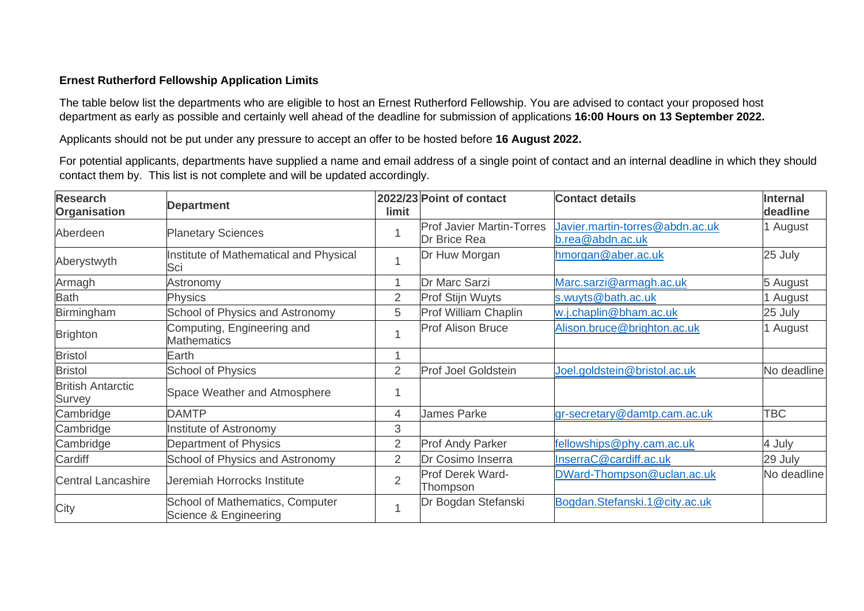## **Ernest Rutherford Fellowship Application Limits**

The table below list the departments who are eligible to host an Ernest Rutherford Fellowship. You are advised to contact your proposed host department as early as possible and certainly well ahead of the deadline for submission of applications **16:00 Hours on 13 September 2022.**

Applicants should not be put under any pressure to accept an offer to be hosted before **16 August 2022.**

For potential applicants, departments have supplied a name and email address of a single point of contact and an internal deadline in which they should contact them by. This list is not complete and will be updated accordingly.

| <b>Research</b><br><b>Organisation</b>    | <b>Department</b>                                        | limit          | 2022/23 Point of contact                                | <b>Contact details</b>                              | <b>Internal</b><br>deadline |
|-------------------------------------------|----------------------------------------------------------|----------------|---------------------------------------------------------|-----------------------------------------------------|-----------------------------|
| Aberdeen                                  | <b>Planetary Sciences</b>                                |                | <b>Prof Javier Martin-Torres</b><br><b>Dr Brice Rea</b> | Javier.martin-torres@abdn.ac.uk<br>b.rea@abdn.ac.uk | 1 August                    |
| Aberystwyth                               | Institute of Mathematical and Physical<br>Sci            |                | Dr Huw Morgan                                           | hmorgan@aber.ac.uk                                  | 25 July                     |
| Armagh                                    | Astronomy                                                |                | Dr Marc Sarzi                                           | Marc.sarzi@armagh.ac.uk                             | 5 August                    |
| <b>Bath</b>                               | <b>Physics</b>                                           | $\overline{2}$ | Prof Stijn Wuyts                                        | s.wuyts@bath.ac.uk                                  | August                      |
| Birmingham                                | School of Physics and Astronomy                          | 5              | <b>Prof William Chaplin</b>                             | w.j.chaplin@bham.ac.uk                              | 25 July                     |
| <b>Brighton</b>                           | Computing, Engineering and<br><b>Mathematics</b>         |                | <b>Prof Alison Bruce</b>                                | Alison.bruce@brighton.ac.uk                         | August                      |
| <b>Bristol</b>                            | Earth                                                    |                |                                                         |                                                     |                             |
| <b>Bristol</b>                            | <b>School of Physics</b>                                 | $\overline{2}$ | <b>Prof Joel Goldstein</b>                              | Joel.goldstein@bristol.ac.uk                        | No deadline                 |
| <b>British Antarctic</b><br><b>Survey</b> | Space Weather and Atmosphere                             |                |                                                         |                                                     |                             |
| Cambridge                                 | <b>DAMTP</b>                                             | $\overline{4}$ | <b>James Parke</b>                                      | gr-secretary@damtp.cam.ac.uk                        | <b>TBC</b>                  |
| Cambridge                                 | Institute of Astronomy                                   | 3              |                                                         |                                                     |                             |
| Cambridge                                 | Department of Physics                                    | $\overline{2}$ | <b>Prof Andy Parker</b>                                 | fellowships@phy.cam.ac.uk                           | 4 July                      |
| Cardiff                                   | School of Physics and Astronomy                          | $\overline{2}$ | Dr Cosimo Inserra                                       | InserraC@cardiff.ac.uk                              | 29 July                     |
| <b>Central Lancashire</b>                 | Jeremiah Horrocks Institute                              | $\overline{2}$ | <b>Prof Derek Ward-</b><br>Thompson                     | DWard-Thompson@uclan.ac.uk                          | No deadline                 |
| City                                      | School of Mathematics, Computer<br>Science & Engineering |                | Dr Bogdan Stefanski                                     | Bogdan.Stefanski.1@city.ac.uk                       |                             |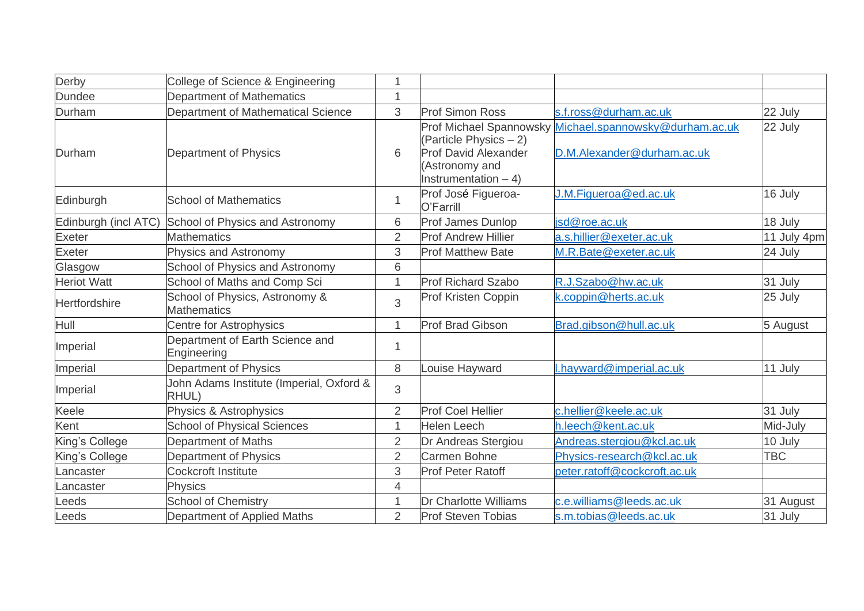| Derby                | College of Science & Engineering                     | 1              |                                                                                                                              |                                                               |             |
|----------------------|------------------------------------------------------|----------------|------------------------------------------------------------------------------------------------------------------------------|---------------------------------------------------------------|-------------|
| <b>Dundee</b>        | Department of Mathematics                            | 1              |                                                                                                                              |                                                               |             |
| Durham               | Department of Mathematical Science                   | 3              | <b>Prof Simon Ross</b>                                                                                                       | s.f.ross@durham.ac.uk                                         | 22 July     |
| Durham               | Department of Physics                                | 6              | Prof Michael Spannowsky<br>(Particle Physics - 2)<br><b>Prof David Alexander</b><br>(Astronomy and<br>Instrumentation $-4$ ) | Michael.spannowsky@durham.ac.uk<br>D.M.Alexander@durham.ac.uk | 22 July     |
| Edinburgh            | <b>School of Mathematics</b>                         | $\mathbf{1}$   | Prof José Figueroa-<br>O'Farrill                                                                                             | J.M.Figueroa@ed.ac.uk                                         | 16 July     |
| Edinburgh (incl ATC) | School of Physics and Astronomy                      | 6              | <b>Prof James Dunlop</b>                                                                                                     | isd@roe.ac.uk                                                 | 18 July     |
| <b>Exeter</b>        | <b>Mathematics</b>                                   | $\overline{2}$ | <b>Prof Andrew Hillier</b>                                                                                                   | a.s.hillier@exeter.ac.uk                                      | 11 July 4pm |
| <b>Exeter</b>        | <b>Physics and Astronomy</b>                         | 3              | <b>Prof Matthew Bate</b>                                                                                                     | M.R.Bate@exeter.ac.uk                                         | 24 July     |
| Glasgow              | <b>School of Physics and Astronomy</b>               | 6              |                                                                                                                              |                                                               |             |
| <b>Heriot Watt</b>   | School of Maths and Comp Sci                         | $\mathbf{1}$   | <b>Prof Richard Szabo</b>                                                                                                    | R.J.Szabo@hw.ac.uk                                            | 31 July     |
| <b>Hertfordshire</b> | School of Physics, Astronomy &<br><b>Mathematics</b> | 3              | Prof Kristen Coppin                                                                                                          | k.coppin@herts.ac.uk                                          | 25 July     |
| Hull                 | <b>Centre for Astrophysics</b>                       | $\mathbf{1}$   | <b>Prof Brad Gibson</b>                                                                                                      | Brad.gibson@hull.ac.uk                                        | 5 August    |
| Imperial             | Department of Earth Science and<br>Engineering       | $\mathbf{1}$   |                                                                                                                              |                                                               |             |
| Imperial             | Department of Physics                                | 8              | Louise Hayward                                                                                                               | .hayward@imperial.ac.uk                                       | 11 July     |
| Imperial             | John Adams Institute (Imperial, Oxford &<br>RHUL)    | 3              |                                                                                                                              |                                                               |             |
| Keele                | Physics & Astrophysics                               | $\overline{2}$ | <b>Prof Coel Hellier</b>                                                                                                     | c.hellier@keele.ac.uk                                         | 31 July     |
| Kent                 | <b>School of Physical Sciences</b>                   | $\mathbf{1}$   | <b>Helen Leech</b>                                                                                                           | h.leech@kent.ac.uk                                            | Mid-July    |
| King's College       | Department of Maths                                  | $\overline{2}$ | Dr Andreas Stergiou                                                                                                          | Andreas.stergiou@kcl.ac.uk                                    | 10 July     |
| King's College       | Department of Physics                                | $\overline{2}$ | <b>Carmen Bohne</b>                                                                                                          | Physics-research@kcl.ac.uk                                    | <b>TBC</b>  |
| Lancaster            | <b>Cockcroft Institute</b>                           | 3              | <b>Prof Peter Ratoff</b>                                                                                                     | peter.ratoff@cockcroft.ac.uk                                  |             |
| Lancaster            | <b>Physics</b>                                       | 4              |                                                                                                                              |                                                               |             |
| Leeds                | <b>School of Chemistry</b>                           | 1              | Dr Charlotte Williams                                                                                                        | c.e.williams@leeds.ac.uk                                      | 31 August   |
| Leeds                | Department of Applied Maths                          | $\overline{2}$ | <b>Prof Steven Tobias</b>                                                                                                    | s.m.tobias@leeds.ac.uk                                        | 31 July     |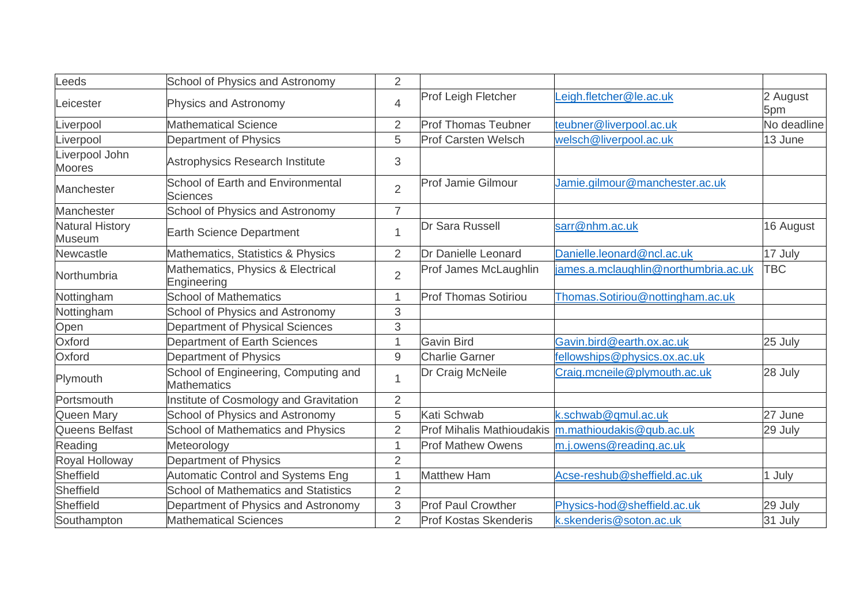| Leeds                                   | School of Physics and Astronomy                             | 2              |                                  |                                      |                 |
|-----------------------------------------|-------------------------------------------------------------|----------------|----------------------------------|--------------------------------------|-----------------|
| Leicester                               | <b>Physics and Astronomy</b>                                | $\overline{4}$ | Prof Leigh Fletcher              | eigh.fletcher@le.ac.uk               | 2 August<br>5pm |
| Liverpool                               | <b>Mathematical Science</b>                                 | $\overline{2}$ | <b>Prof Thomas Teubner</b>       | teubner@liverpool.ac.uk              | No deadline     |
| Liverpool                               | Department of Physics                                       | 5              | <b>Prof Carsten Welsch</b>       | welsch@liverpool.ac.uk               | 13 June         |
| Liverpool John<br><b>Moores</b>         | <b>Astrophysics Research Institute</b>                      | 3              |                                  |                                      |                 |
| Manchester                              | <b>School of Earth and Environmental</b><br><b>Sciences</b> | $\overline{2}$ | <b>Prof Jamie Gilmour</b>        | Jamie.gilmour@manchester.ac.uk       |                 |
| Manchester                              | School of Physics and Astronomy                             | $\overline{7}$ |                                  |                                      |                 |
| <b>Natural History</b><br><b>Museum</b> | <b>Earth Science Department</b>                             | 1              | <b>Dr Sara Russell</b>           | sarr@nhm.ac.uk                       | 16 August       |
| Newcastle                               | Mathematics, Statistics & Physics                           | $\overline{2}$ | Dr Danielle Leonard              | Danielle.leonard@ncl.ac.uk           | 17 July         |
| Northumbria                             | Mathematics, Physics & Electrical<br>Engineering            | $\overline{2}$ | Prof James McLaughlin            | james.a.mclaughlin@northumbria.ac.uk | <b>TBC</b>      |
| Nottingham                              | <b>School of Mathematics</b>                                | 1              | <b>Prof Thomas Sotiriou</b>      | Thomas.Sotiriou@nottingham.ac.uk     |                 |
| Nottingham                              | <b>School of Physics and Astronomy</b>                      | 3              |                                  |                                      |                 |
| Open                                    | Department of Physical Sciences                             | 3              |                                  |                                      |                 |
| Oxford                                  | Department of Earth Sciences                                | 1              | <b>Gavin Bird</b>                | Gavin.bird@earth.ox.ac.uk            | 25 July         |
| Oxford                                  | Department of Physics                                       | 9              | <b>Charlie Garner</b>            | fellowships@physics.ox.ac.uk         |                 |
| Plymouth                                | School of Engineering, Computing and<br><b>Mathematics</b>  | 1              | Dr Craig McNeile                 | Craig.mcneile@plymouth.ac.uk         | 28 July         |
| Portsmouth                              | Institute of Cosmology and Gravitation                      | $\overline{2}$ |                                  |                                      |                 |
| Queen Mary                              | School of Physics and Astronomy                             | 5              | Kati Schwab                      | k.schwab@gmul.ac.uk                  | 27 June         |
| Queens Belfast                          | <b>School of Mathematics and Physics</b>                    | $\overline{2}$ | <b>Prof Mihalis Mathioudakis</b> | m.mathioudakis@qub.ac.uk             | 29 July         |
| Reading                                 | Meteorology                                                 | 1              | <b>Prof Mathew Owens</b>         | m.j.owens@reading.ac.uk              |                 |
| Royal Holloway                          | Department of Physics                                       | $\overline{2}$ |                                  |                                      |                 |
| Sheffield                               | <b>Automatic Control and Systems Eng</b>                    | 1              | <b>Matthew Ham</b>               | Acse-reshub@sheffield.ac.uk          | 1 July          |
| Sheffield                               | <b>School of Mathematics and Statistics</b>                 | $\overline{2}$ |                                  |                                      |                 |
| Sheffield                               | Department of Physics and Astronomy                         | 3              | <b>Prof Paul Crowther</b>        | Physics-hod@sheffield.ac.uk          | 29 July         |
| Southampton                             | <b>Mathematical Sciences</b>                                | $\overline{2}$ | <b>Prof Kostas Skenderis</b>     | k.skenderis@soton.ac.uk              | 31 July         |